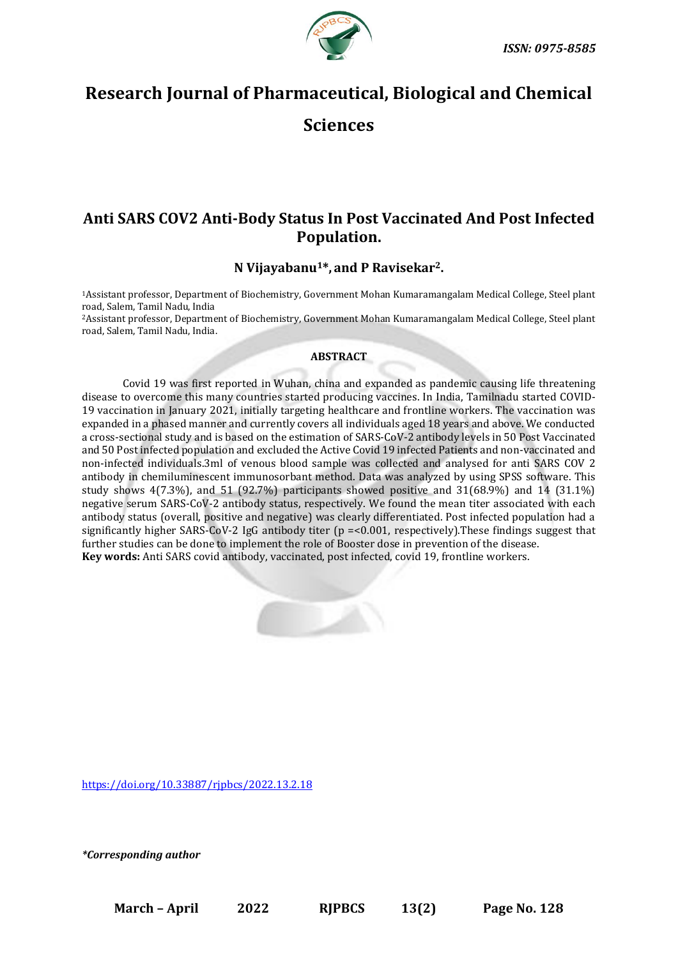

# **Research Journal of Pharmaceutical, Biological and Chemical Sciences**

## **Anti SARS COV2 Anti-Body Status In Post Vaccinated And Post Infected Population.**

## **N Vijayabanu1\*, and P Ravisekar2.**

<sup>1</sup>Assistant professor, Department of Biochemistry, Government Mohan Kumaramangalam Medical College, Steel plant road, Salem, Tamil Nadu, India

<sup>2</sup>Assistant professor, Department of Biochemistry, Government Mohan Kumaramangalam Medical College, Steel plant road, Salem, Tamil Nadu, India.

#### **ABSTRACT**

Covid 19 was first reported in Wuhan, china and expanded as pandemic causing life threatening disease to overcome this many countries started producing vaccines. In India, Tamilnadu started COVID-19 vaccination in January 2021, initially targeting healthcare and frontline workers. The vaccination was expanded in a phased manner and currently covers all individuals aged 18 years and above. We conducted a cross-sectional study and is based on the estimation of SARS-CoV-2 antibody levels in 50 Post Vaccinated and 50 Post infected population and excluded the Active Covid 19 infected Patients and non-vaccinated and non-infected individuals.3ml of venous blood sample was collected and analysed for anti SARS COV 2 antibody in chemiluminescent immunosorbant method. Data was analyzed by using SPSS software. This study shows 4(7.3%), and 51 (92.7%) participants showed positive and 31(68.9%) and 14 (31.1%) negative serum SARS-CoV-2 antibody status, respectively. We found the mean titer associated with each antibody status (overall, positive and negative) was clearly differentiated. Post infected population had a significantly higher SARS-CoV-2 IgG antibody titer ( $p = 0.001$ , respectively). These findings suggest that further studies can be done to implement the role of Booster dose in prevention of the disease. **Key words:** Anti SARS covid antibody, vaccinated, post infected, covid 19, frontline workers.



<https://doi.org/10.33887/rjpbcs/2022.13.2.18>

*\*Corresponding author*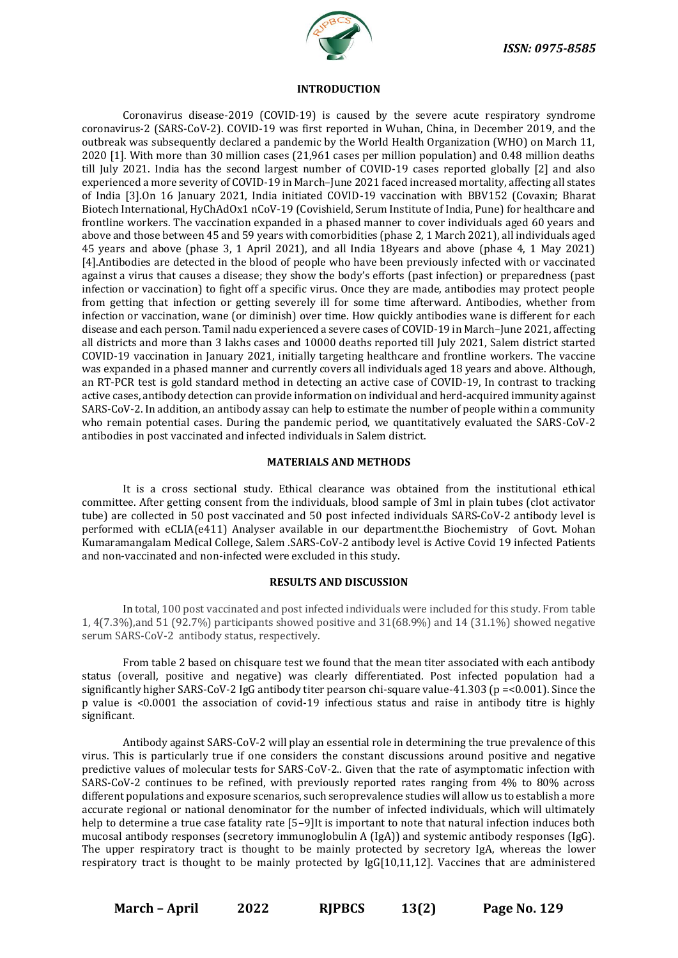

#### **INTRODUCTION**

Coronavirus disease-2019 (COVID-19) is caused by the severe acute respiratory syndrome coronavirus-2 (SARS-CoV-2). COVID-19 was first reported in Wuhan, China, in December 2019, and the outbreak was subsequently declared a pandemic by the World Health Organization (WHO) on March 11, 2020 [1]. With more than 30 million cases (21,961 cases per million population) and 0.48 million deaths till July 2021. India has the second largest number of COVID-19 cases reported globally [2] and also experienced a more severity of COVID-19 in March–June 2021 faced increased mortality, affecting all states of India [3].On 16 January 2021, India initiated COVID-19 vaccination with BBV152 (Covaxin; Bharat Biotech International, HyChAdOx1 nCoV-19 (Covishield, Serum Institute of India, Pune) for healthcare and frontline workers. The vaccination expanded in a phased manner to cover individuals aged 60 years and above and those between 45 and 59 years with comorbidities (phase 2, 1 March 2021), all individuals aged 45 years and above (phase 3, 1 April 2021), and all India 18years and above (phase 4, 1 May 2021) [4].Antibodies are detected in the blood of people who have been previously infected with or vaccinated against a virus that causes a disease; they show the body's efforts (past infection) or preparedness (past infection or vaccination) to fight off a specific virus. Once they are made, antibodies may protect people from getting that infection or getting severely ill for some time afterward. Antibodies, whether from infection or vaccination, wane (or diminish) over time. How quickly antibodies wane is different for each disease and each person. Tamil nadu experienced a severe cases of COVID-19 in March–June 2021, affecting all districts and more than 3 lakhs cases and 10000 deaths reported till July 2021, Salem district started COVID-19 vaccination in January 2021, initially targeting healthcare and frontline workers. The vaccine was expanded in a phased manner and currently covers all individuals aged 18 years and above. Although, an RT-PCR test is gold standard method in detecting an active case of COVID-19, In contrast to tracking active cases, antibody detection can provide information on individual and herd-acquired immunity against SARS-CoV-2. In addition, an antibody assay can help to estimate the number of people within a community who remain potential cases. During the pandemic period, we quantitatively evaluated the SARS-CoV-2 antibodies in post vaccinated and infected individuals in Salem district.

#### **MATERIALS AND METHODS**

It is a cross sectional study. Ethical clearance was obtained from the institutional ethical committee. After getting consent from the individuals, blood sample of 3ml in plain tubes (clot activator tube) are collected in 50 post vaccinated and 50 post infected individuals SARS-CoV-2 antibody level is performed with eCLIA(e411) Analyser available in our department.the Biochemistry of Govt. Mohan Kumaramangalam Medical College, Salem .SARS-CoV-2 antibody level is Active Covid 19 infected Patients and non-vaccinated and non-infected were excluded in this study.

#### **RESULTS AND DISCUSSION**

In total, 100 post vaccinated and post infected individuals were included for this study. From table 1, 4(7.3%),and 51 (92.7%) participants showed positive and 31(68.9%) and 14 (31.1%) showed negative serum SARS-CoV-2 antibody status, respectively.

From table 2 based on chisquare test we found that the mean titer associated with each antibody status (overall, positive and negative) was clearly differentiated. Post infected population had a significantly higher SARS-CoV-2 IgG antibody titer pearson chi-square value-41.303 (p =<0.001). Since the p value is <0.0001 the association of covid-19 infectious status and raise in antibody titre is highly significant.

Antibody against SARS-CoV-2 will play an essential role in determining the true prevalence of this virus. This is particularly true if one considers the constant discussions around positive and negative predictive values of molecular tests for SARS-CoV-2.. Given that the rate of asymptomatic infection with SARS-CoV-2 continues to be refined, with previously reported rates ranging from 4% to 80% across different populations and exposure scenarios, such seroprevalence studies will allow us to establish a more accurate regional or national denominator for the number of infected individuals, which will ultimately help to determine a true case fatality rate [5-9]It is important to note that natural infection induces both mucosal antibody responses (secretory immunoglobulin A (IgA)) and systemic antibody responses (IgG). The upper respiratory tract is thought to be mainly protected by secretory IgA, whereas the lower respiratory tract is thought to be mainly protected by IgG[10,11,12]. Vaccines that are administered

**March – April 2022 RJPBCS 13(2) Page No. 129**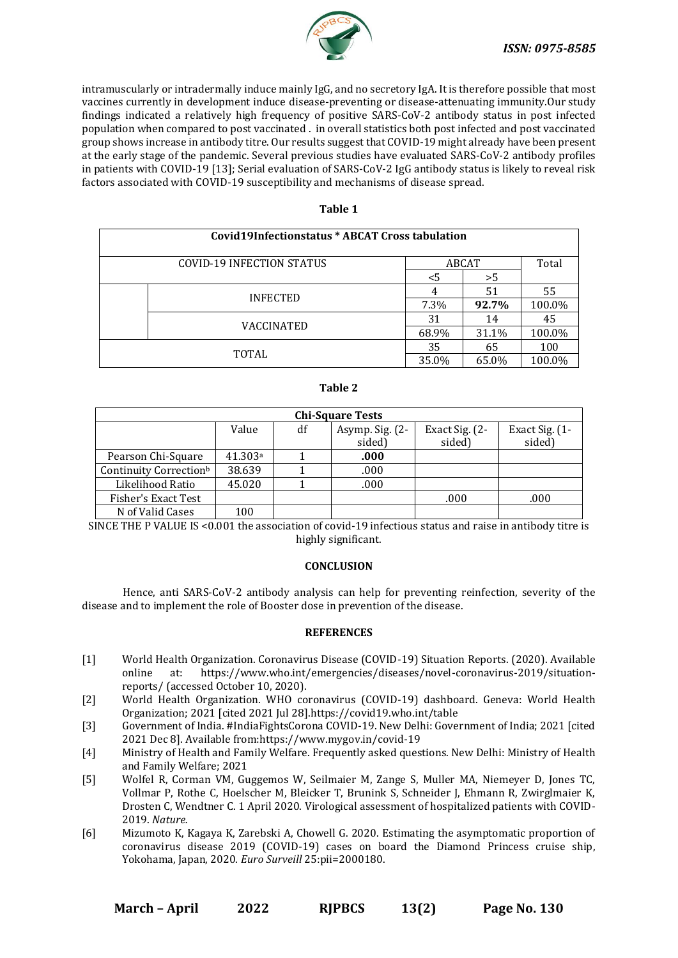

intramuscularly or intradermally induce mainly IgG, and no secretory IgA. It is therefore possible that most vaccines currently in development induce disease-preventing or disease-attenuating immunity.Our study findings indicated a relatively high frequency of positive SARS-CoV-2 antibody status in post infected population when compared to post vaccinated . in overall statistics both post infected and post vaccinated group shows increase in antibody titre. Our results suggest that COVID-19 might already have been present at the early stage of the pandemic. Several previous studies have evaluated SARS-CoV-2 antibody profiles in patients with COVID-19 [13]; Serial evaluation of SARS-CoV-2 IgG antibody status is likely to reveal risk factors associated with COVID-19 susceptibility and mechanisms of disease spread.

| ۰.<br>×<br>٠<br>۰. |  |
|--------------------|--|
|--------------------|--|

| Covid19Infectionstatus * ABCAT Cross tabulation |                 |       |       |        |  |  |
|-------------------------------------------------|-----------------|-------|-------|--------|--|--|
| COVID-19 INFECTION STATUS                       |                 | ABCAT |       | Total  |  |  |
|                                                 |                 | <5    | >5    |        |  |  |
|                                                 | <b>INFECTED</b> |       | 51    | 55     |  |  |
|                                                 |                 | 7.3%  | 92.7% | 100.0% |  |  |
|                                                 | VACCINATED      | 31    | 14    | 45     |  |  |
|                                                 |                 | 68.9% | 31.1% | 100.0% |  |  |
| TOTAL                                           |                 | 35    | 65    | 100    |  |  |
|                                                 |                 | 35.0% | 65.0% | 100.0% |  |  |

| -<br>۰.<br>٠<br>×<br>۰.<br>۰, |  |
|-------------------------------|--|
|-------------------------------|--|

| <b>Chi-Square Tests</b>            |         |    |                 |                |                |  |  |  |
|------------------------------------|---------|----|-----------------|----------------|----------------|--|--|--|
|                                    | Value   | df | Asymp. Sig. (2- | Exact Sig. (2- | Exact Sig. (1- |  |  |  |
|                                    |         |    | sided)          | sided)         | sided)         |  |  |  |
| Pearson Chi-Square                 | 41.303a |    | .000            |                |                |  |  |  |
| Continuity Correction <sup>b</sup> | 38.639  |    | .000            |                |                |  |  |  |
| Likelihood Ratio                   | 45.020  |    | .000            |                |                |  |  |  |
| Fisher's Exact Test                |         |    |                 | .000           | .000           |  |  |  |
| N of Valid Cases                   | 100     |    |                 |                |                |  |  |  |

SINCE THE P VALUE IS <0.001 the association of covid-19 infectious status and raise in antibody titre is highly significant.

### **CONCLUSION**

Hence, anti SARS-CoV-2 antibody analysis can help for preventing reinfection, severity of the disease and to implement the role of Booster dose in prevention of the disease.

#### **REFERENCES**

- [1] World Health Organization. Coronavirus Disease (COVID-19) Situation Reports. (2020). Available online at: https://www.who.int/emergencies/diseases/novel-coronavirus-2019/situationreports/ (accessed October 10, 2020).
- [2] World Health Organization. WHO coronavirus (COVID-19) dashboard. Geneva: World Health Organization; 2021 [cited 2021 Jul 28].https://covid19.who.int/table
- [3] Government of India. #IndiaFightsCorona COVID-19. New Delhi: Government of India; 2021 [cited 2021 Dec 8]. Available from:https://www.mygov.in/covid-19
- [4] Ministry of Health and Family Welfare. Frequently asked questions. New Delhi: Ministry of Health and Family Welfare; 2021
- [5] Wolfel R, Corman VM, Guggemos W, Seilmaier M, Zange S, Muller MA, Niemeyer D, Jones TC, Vollmar P, Rothe C, Hoelscher M, Bleicker T, Brunink S, Schneider J, Ehmann R, Zwirglmaier K, Drosten C, Wendtner C. 1 April 2020. Virological assessment of hospitalized patients with COVID-2019. *Nature.*
- [6] Mizumoto K, Kagaya K, Zarebski A, Chowell G. 2020. Estimating the asymptomatic proportion of coronavirus disease 2019 (COVID-19) cases on board the Diamond Princess cruise ship, Yokohama, Japan, 2020. *Euro Surveill* 25:pii=2000180.